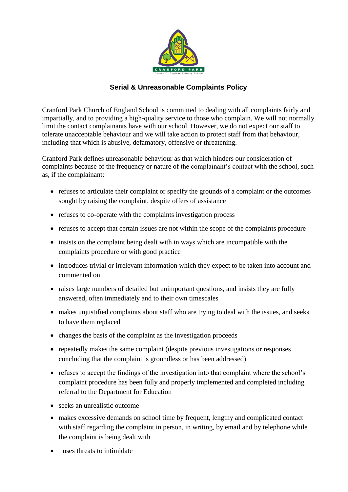

## **Serial & Unreasonable Complaints Policy**

Cranford Park Church of England School is committed to dealing with all complaints fairly and impartially, and to providing a high-quality service to those who complain. We will not normally limit the contact complainants have with our school. However, we do not expect our staff to tolerate unacceptable behaviour and we will take action to protect staff from that behaviour, including that which is abusive, defamatory, offensive or threatening.

Cranford Park defines unreasonable behaviour as that which hinders our consideration of complaints because of the frequency or nature of the complainant's contact with the school, such as, if the complainant:

- refuses to articulate their complaint or specify the grounds of a complaint or the outcomes sought by raising the complaint, despite offers of assistance
- refuses to co-operate with the complaints investigation process
- refuses to accept that certain issues are not within the scope of the complaints procedure
- insists on the complaint being dealt with in ways which are incompatible with the complaints procedure or with good practice
- introduces trivial or irrelevant information which they expect to be taken into account and commented on
- raises large numbers of detailed but unimportant questions, and insists they are fully answered, often immediately and to their own timescales
- makes unjustified complaints about staff who are trying to deal with the issues, and seeks to have them replaced
- changes the basis of the complaint as the investigation proceeds
- repeatedly makes the same complaint (despite previous investigations or responses concluding that the complaint is groundless or has been addressed)
- refuses to accept the findings of the investigation into that complaint where the school's complaint procedure has been fully and properly implemented and completed including referral to the Department for Education
- seeks an unrealistic outcome
- makes excessive demands on school time by frequent, lengthy and complicated contact with staff regarding the complaint in person, in writing, by email and by telephone while the complaint is being dealt with
- uses threats to intimidate